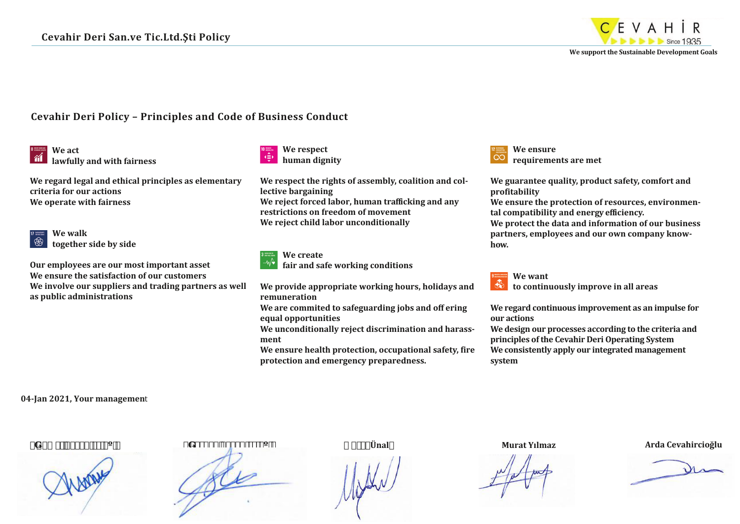

**We support the Sustainable Development Goals**

## **Cevahir Deri Policy – Principles and Code of Business Conduct**



**We regard legal and ethical principles as elementary criteria for our actions We operate with fairness**



**together side by side**

**Our employees are our most important asset We ensure the satisfaction of our customers We involve our suppliers and trading partners as well as public administrations**

**We respect human dignity**

**We respect the rights of assembly, coalition and collective bargaining We reject forced labor, human trafficking and any restrictions on freedom of movement We reject child labor unconditionally**



**We create fair and safe working conditions**

**We provide appropriate working hours, holidays and remuneration**

**We are commited to safeguarding jobs and off ering equal opportunities**

**We unconditionally reject discrimination and harassment**

**We ensure health protection, occupational safety, fire protection and emergency preparedness.**



**We guarantee quality, product safety, comfort and profitability**

**We ensure the protection of resources, environmental compatibility and energy efficiency.**

**We protect the data and information of our business partners, employees and our own company knowhow.**



**We want** 

**to continuously improve in all areas**

**We regard continuous improvement as an impulse for our actions**

**We design our processes according to the criteria and principles of the Cevahir Deri Operating System We consistently apply our integrated management system**

**04-Jan 2021, Your managemen**t

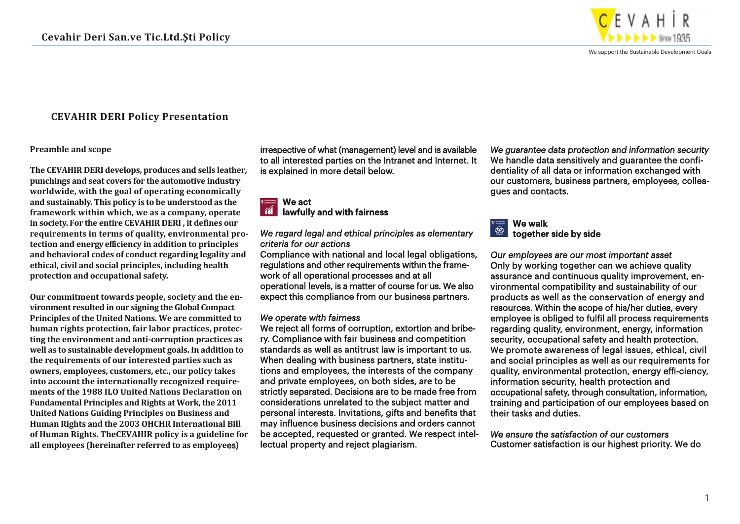

### **CEVAHIR DERI Policy Presentation**

#### **Preamble and scope**

**The CEVAHIR DERI develops, produces and sells leather, punchings and seat covers for the automotive industry worldwide, with the goal of operating economically and sustainably. This policy is to be understood as the framework within which, we as a company, operate in society. For the entire CEVAHIR DERI , it defines our requirements in terms of quality, environmental protection and energy efficiency in addition to principles and behavioral codes of conduct regarding legality and ethical, civil and social principles, including health protection and occupational safety.**

**Our commitment towards people, society and the environment resulted in our signing the Global Compact Principles of the United Nations. We are committed to human rights protection, fair labor practices, protecting the environment and anti-corruption practices as well as to sustainable development goals. In addition to the requirements of our interested parties such as owners, employees, customers, etc., our policy takes into account the internationally recognized requirements of the 1988 ILO United Nations Declaration on Fundamental Principles and Rights at Work, the 2011 United Nations Guiding Principles on Business and Human Rights and the 2003 OHCHR International Bill of Human Rights. TheCEVAHIR policy is a guideline for all employees (hereinafter referred to as employe**es)

irrespective of what (management) level and is available to all interested parties on the Intranet and Internet. It is explained in more detail below.

#### We act  $\hat{M}$ lawfully and with fairness

### *We regard legal and ethical principles as elementary criteria for our actions*

Compliance with national and local legal obligations, regulations and other requirements within the framework of all operational processes and at all operational levels, is a matter of course for us. We also expect this compliance from our business partners.

#### *We operate with fairness*

We reject all forms of corruption, extortion and bribery. Compliance with fair business and competition standards as well as antitrust law is important to us. When dealing with business partners, state institutions and employees, the interests of the company and private employees, on both sides, are to be strictly separated. Decisions are to be made free from considerations unrelated to the subject matter and personal interests. Invitations, gifts and benefits that may influence business decisions and orders cannot be accepted, requested or granted. We respect intellectual property and reject plagiarism.

*We guarantee data protection and information security* We handle data sensitively and quarantee the confidentiality of all data or information exchanged with our customers, business partners, employees, colleagues and contacts.

#### We walk  $\circledast$ together side by side

*Our employees are our most important asset* Only by working together can we achieve quality assurance and continuous quality improvement, environmental compatibility and sustainability of our products as well as the conservation of energy and resources. Within the scope of his/her duties, every employee is obliged to fulfil all process requirements regarding quality, environment, energy, information security, occupational safety and health protection. We promote awareness of legal issues, ethical, civil and social principles as well as our requirements for quality, environmental protection, energy effi-ciency, information security, health protection and occupational safety, through consultation, information, training and participation of our employees based on their tasks and duties.

*We ensure the satisfaction of our customers* Customer satisfaction is our highest priority. We do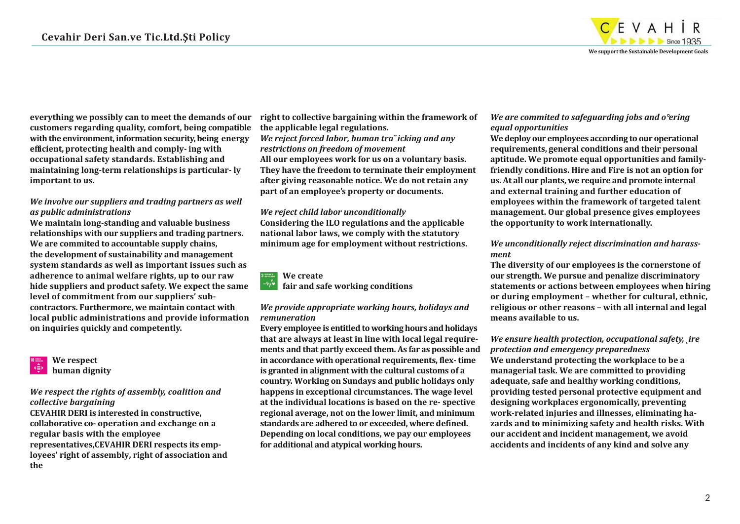

**everything we possibly can to meet the demands of our customers regarding quality, comfort, being compatible with the environment, information security, being energy efficient, protecting health and comply- ing with occupational safety standards. Establishing and maintaining long-term relationships is particular- ly important to us.**

#### *We involve our suppliers and trading partners as well as public administrations*

**We maintain long-standing and valuable business relationships with our suppliers and trading partners. We are commited to accountable supply chains, the development of sustainability and management system standards as well as important issues such as adherence to animal welfare rights, up to our raw hide suppliers and product safety. We expect the same level of commitment from our suppliers' subcontractors. Furthermore, we maintain contact with local public administrations and provide information on inquiries quickly and competently.**



## *We respect the rights of assembly, coalition and collective bargaining*

**CEVAHIR DERI is interested in constructive, collaborative co- operation and exchange on a regular basis with the employee representatives,CEVAHIR DERI respects its employees' right of assembly, right of association and the** 

**right to collective bargaining within the framework of the applicable legal regulations.**

*We reject forced labor, human tra˜ icking and any restrictions on freedom of movement*  **All our employees work for us on a voluntary basis. They have the freedom to terminate their employment after giving reasonable notice. We do not retain any part of an employee's property or documents.** 

#### *We reject child labor unconditionally*

**Considering the ILO regulations and the applicable national labor laws, we comply with the statutory minimum age for employment without restrictions.**



# **fair and safe working conditions**

#### *We provide appropriate working hours, holidays and remuneration*

**Every employee is entitled to working hours and holidays that are always at least in line with local legal requirements and that partly exceed them. As far as possible and in accordance with operational requirements, flex- time is granted in alignment with the cultural customs of a country. Working on Sundays and public holidays only happens in exceptional circumstances. The wage level at the individual locations is based on the re- spective regional average, not on the lower limit, and minimum standards are adhered to or exceeded, where defined. Depending on local conditions, we pay our employees for additional and atypical working hours.**

#### *We are commited to safeguarding jobs and o°ering equal opportunities*

**We deploy our employees according to our operational requirements, general conditions and their personal aptitude. We promote equal opportunities and familyfriendly conditions. Hire and Fire is not an option for us. At all our plants, we require and promote internal and external training and further education of employees within the framework of targeted talent management. Our global presence gives employees the opportunity to work internationally.** 

#### *We unconditionally reject discrimination and harassment*

**The diversity of our employees is the cornerstone of our strength. We pursue and penalize discriminatory statements or actions between employees when hiring or during employment – whether for cultural, ethnic, religious or other reasons – with all internal and legal means available to us.**

*We ensure health protection, occupational safety, ire protection and emergency preparedness* **We understand protecting the workplace to be a managerial task. We are committed to providing adequate, safe and healthy working conditions, providing tested personal protective equipment and designing workplaces ergonomically, preventing work-related injuries and illnesses, eliminating hazards and to minimizing safety and health risks. With our accident and incident management, we avoid accidents and incidents of any kind and solve any**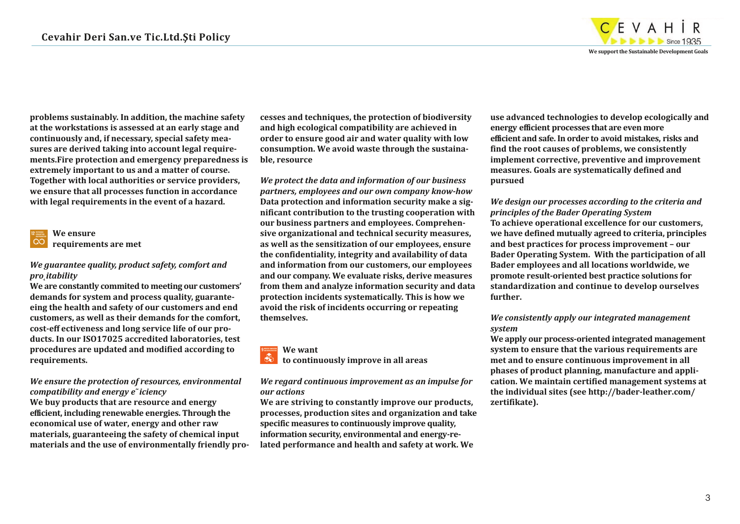

**problems sustainably. In addition, the machine safety at the workstations is assessed at an early stage and continuously and, if necessary, special safety measures are derived taking into account legal requirements.Fire protection and emergency preparedness is extremely important to us and a matter of course. Together with local authorities or service providers, we ensure that all processes function in accordance with legal requirements in the event of a hazard.**



### *We guarantee quality, product safety, comfort and pro˛itability*

**We are constantly commited to meeting our customers' demands for system and process quality, guaranteeing the health and safety of our customers and end customers, as well as their demands for the comfort, cost-eff ectiveness and long service life of our products. In our ISO17025 accredited laboratories, test procedures are updated and modified according to requirements.**

#### *We ensure the protection of resources, environmental compatibility and energy e˜ iciency*

**We buy products that are resource and energy efficient, including renewable energies. Through the economical use of water, energy and other raw materials, guaranteeing the safety of chemical input materials and the use of environmentally friendly pro-**

**cesses and techniques, the protection of biodiversity and high ecological compatibility are achieved in order to ensure good air and water quality with low consumption. We avoid waste through the sustainable, resource**

*We protect the data and information of our business partners, employees and our own company know-how* **Data protection and information security make a significant contribution to the trusting cooperation with our business partners and employees. Comprehensive organizational and technical security measures, as well as the sensitization of our employees, ensure the confidentiality, integrity and availability of data and information from our customers, our employees and our company. We evaluate risks, derive measures from them and analyze information security and data protection incidents systematically. This is how we avoid the risk of incidents occurring or repeating themselves.**

#### **We want**

**to continuously improve in all areas**

*We regard continuous improvement as an impulse for our actions*

**We are striving to constantly improve our products, processes, production sites and organization and take specific measures to continuously improve quality, information security, environmental and energy-related performance and health and safety at work. We** 

**use advanced technologies to develop ecologically and energy efficient processes that are even more efficient and safe. In order to avoid mistakes, risks and find the root causes of problems, we consistently implement corrective, preventive and improvement measures. Goals are systematically defined and pursued**

*We design our processes according to the criteria and principles of the Bader Operating System* **To achieve operational excellence for our customers, we have defined mutually agreed to criteria, principles and best practices for process improvement – our Bader Operating System. With the participation of all Bader employees and all locations worldwide, we promote result-oriented best practice solutions for standardization and continue to develop ourselves further.** 

### *We consistently apply our integrated management system*

**We apply our process-oriented integrated management system to ensure that the various requirements are met and to ensure continuous improvement in all phases of product planning, manufacture and application. We maintain certified management systems at the individual sites (see http://bader-leather.com/ zertifikate).**